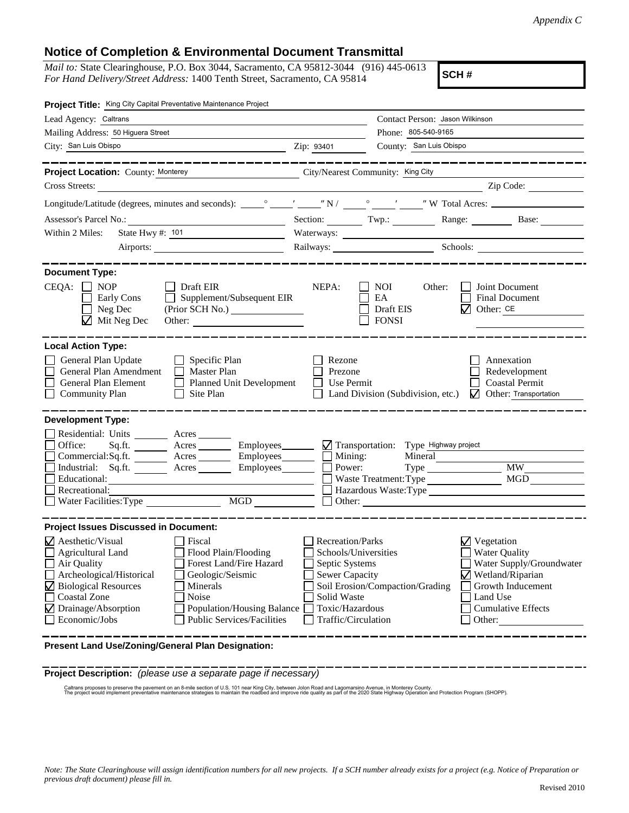## **Notice of Completion & Environmental Document Transmittal**

*Mail to:* State Clearinghouse, P.O. Box 3044, Sacramento, CA 95812-3044 (916) 445-0613 *For Hand Delivery/Street Address:* 1400 Tenth Street, Sacramento, CA 95814

**SCH #**

| Project Title: King City Capital Preventative Maintenance Project                                                                                                                                                                                                                                                                                                                              |                                                                                                                                                            |                                                  |                                                                                                                                                                                                                                                                                                  |
|------------------------------------------------------------------------------------------------------------------------------------------------------------------------------------------------------------------------------------------------------------------------------------------------------------------------------------------------------------------------------------------------|------------------------------------------------------------------------------------------------------------------------------------------------------------|--------------------------------------------------|--------------------------------------------------------------------------------------------------------------------------------------------------------------------------------------------------------------------------------------------------------------------------------------------------|
| Lead Agency: Caltrans                                                                                                                                                                                                                                                                                                                                                                          | Contact Person: Jason Wilkinson                                                                                                                            |                                                  |                                                                                                                                                                                                                                                                                                  |
| Mailing Address: 50 Higuera Street                                                                                                                                                                                                                                                                                                                                                             | Phone: 805-540-9165                                                                                                                                        |                                                  |                                                                                                                                                                                                                                                                                                  |
| City: San Luis Obispo                                                                                                                                                                                                                                                                                                                                                                          | Zip: 93401                                                                                                                                                 | County: San Luis Obispo                          |                                                                                                                                                                                                                                                                                                  |
| <b>Project Location: County: Monterey</b><br>City/Nearest Community: King City                                                                                                                                                                                                                                                                                                                 |                                                                                                                                                            |                                                  |                                                                                                                                                                                                                                                                                                  |
| Cross Streets:<br><u> 1980 - Jan Stein Stein Stein Stein Stein Stein Stein Stein Stein Stein Stein Stein Stein Stein Stein Stein S</u>                                                                                                                                                                                                                                                         |                                                                                                                                                            |                                                  | $\sum_{i=1}^{n}$ $\sum_{i=1}^{n}$ $\sum_{i=1}^{n}$ $\sum_{i=1}^{n}$ $\sum_{i=1}^{n}$ $\sum_{i=1}^{n}$ $\sum_{i=1}^{n}$ $\sum_{i=1}^{n}$ $\sum_{i=1}^{n}$ $\sum_{i=1}^{n}$ $\sum_{i=1}^{n}$ $\sum_{i=1}^{n}$ $\sum_{i=1}^{n}$ $\sum_{i=1}^{n}$ $\sum_{i=1}^{n}$ $\sum_{i=1}^{n}$ $\sum_{i=1}^{n}$ |
|                                                                                                                                                                                                                                                                                                                                                                                                |                                                                                                                                                            |                                                  |                                                                                                                                                                                                                                                                                                  |
|                                                                                                                                                                                                                                                                                                                                                                                                |                                                                                                                                                            |                                                  | Section: Twp.: Twp.: Range: Base: Base:                                                                                                                                                                                                                                                          |
| State Hwy #: 101<br>Within 2 Miles:<br><u> 1990 - John Barn Barn, amerikansk politiker</u>                                                                                                                                                                                                                                                                                                     |                                                                                                                                                            |                                                  |                                                                                                                                                                                                                                                                                                  |
|                                                                                                                                                                                                                                                                                                                                                                                                | Railways: Schools: Schools:                                                                                                                                |                                                  |                                                                                                                                                                                                                                                                                                  |
| <b>Document Type:</b><br>$CEQA: \Box NP$<br>$\Box$ Draft EIR<br>Early Cons<br>$\Box$<br>Supplement/Subsequent EIR<br>$\Box$ Neg Dec<br>$\Box$ Mit Neg Dec                                                                                                                                                                                                                                      | NEPA:                                                                                                                                                      | NOI<br>Other:<br>EA<br>Draft EIS<br><b>FONSI</b> | Joint Document<br>Final Document<br>$\sqrt{ }$ Other: CE                                                                                                                                                                                                                                         |
| <b>Local Action Type:</b>                                                                                                                                                                                                                                                                                                                                                                      |                                                                                                                                                            |                                                  |                                                                                                                                                                                                                                                                                                  |
| General Plan Update<br>$\Box$ Specific Plan<br>General Plan Amendment<br>$\Box$ Master Plan<br><b>General Plan Element</b><br><b>Planned Unit Development</b><br><b>Community Plan</b><br>Site Plan<br>$\Box$                                                                                                                                                                                  | Rezone<br>Annexation<br>Redevelopment<br>Prezone<br><b>Coastal Permit</b><br>Use Permit<br>Land Division (Subdivision, etc.)<br>Other: Transportation<br>M |                                                  |                                                                                                                                                                                                                                                                                                  |
| <b>Development Type:</b><br>Residential: Units ________ Acres _______<br>Office:<br>Acres _________ Employees ________ M Transportation: Type Highway project<br>Sq.fit.<br>Commercial:Sq.ft. Acres Employees<br>Industrial: Sq.ft. _______ Acres _______ Employees ______ $\square$<br>Educational:<br>Recreational:<br>MGD<br><br>Water Facilities: Type                                     | Mining:<br>Power:                                                                                                                                          | Mineral<br>Waste Treatment: Type                 | <b>MW</b><br>MGD<br>Hazardous Waste:Type                                                                                                                                                                                                                                                         |
| <b>Project Issues Discussed in Document:</b>                                                                                                                                                                                                                                                                                                                                                   |                                                                                                                                                            |                                                  |                                                                                                                                                                                                                                                                                                  |
| $\sqrt{\phantom{a}}$ Aesthetic/Visual<br>Fiscal<br>Agricultural Land<br>Flood Plain/Flooding<br>Air Quality<br>Forest Land/Fire Hazard<br>Archeological/Historical<br>Geologic/Seismic<br>Biological Resources<br>Minerals<br><b>Coastal Zone</b><br>Noise<br>$\boldsymbol{\nabla}$<br>Drainage/Absorption<br>Population/Housing Balance<br>Economic/Jobs<br><b>Public Services/Facilities</b> | <b>Recreation/Parks</b><br>Schools/Universities<br>Septic Systems<br><b>Sewer Capacity</b><br>Solid Waste<br>Toxic/Hazardous<br>Traffic/Circulation        | Soil Erosion/Compaction/Grading                  | $\nabla$ Vegetation<br><b>Water Quality</b><br>Water Supply/Groundwater<br>$\sqrt{\phantom{a}}$ Wetland/Riparian<br>Growth Inducement<br>Land Use<br><b>Cumulative Effects</b><br>Other:                                                                                                         |

**Present Land Use/Zoning/General Plan Designation:**

**Project Description:** *(please use a separate page if necessary)*

Caltrans proposes to preserve the pavernent on an 8-mile section of U.S. 101 near King City, between Jolon Road and Lagomarsino Avenue, in Monterey County.<br>The project would implement preventative maintenance strategies to